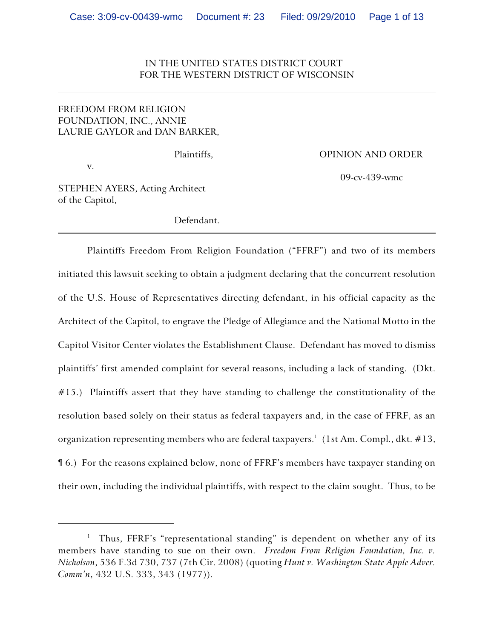## IN THE UNITED STATES DISTRICT COURT FOR THE WESTERN DISTRICT OF WISCONSIN

# FREEDOM FROM RELIGION FOUNDATION, INC., ANNIE LAURIE GAYLOR and DAN BARKER,

v.

Plaintiffs, OPINION AND ORDER

09-cv-439-wmc

STEPHEN AYERS, Acting Architect of the Capitol,

Defendant.

Plaintiffs Freedom From Religion Foundation ("FFRF") and two of its members initiated this lawsuit seeking to obtain a judgment declaring that the concurrent resolution of the U.S. House of Representatives directing defendant, in his official capacity as the Architect of the Capitol, to engrave the Pledge of Allegiance and the National Motto in the Capitol Visitor Center violates the Establishment Clause. Defendant has moved to dismiss plaintiffs' first amended complaint for several reasons, including a lack of standing. (Dkt. #15.) Plaintiffs assert that they have standing to challenge the constitutionality of the resolution based solely on their status as federal taxpayers and, in the case of FFRF, as an organization representing members who are federal taxpayers.<sup>1</sup> (1st Am. Compl., dkt.  $\#13$ , ¶ 6.) For the reasons explained below, none of FFRF's members have taxpayer standing on their own, including the individual plaintiffs, with respect to the claim sought. Thus, to be

<sup>&</sup>lt;sup>1</sup> Thus, FFRF's "representational standing" is dependent on whether any of its members have standing to sue on their own. *Freedom From Religion Foundation, Inc. v. Nicholson*, 536 F.3d 730, 737 (7th Cir. 2008) (quoting *Hunt v. Washington State Apple Adver. Comm'n*, 432 U.S. 333, 343 (1977)).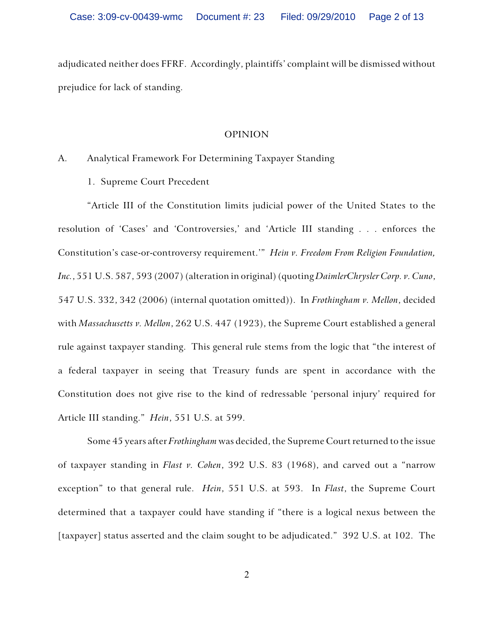adjudicated neither does FFRF. Accordingly, plaintiffs' complaint will be dismissed without prejudice for lack of standing.

#### OPINION

### A. Analytical Framework For Determining Taxpayer Standing

1. Supreme Court Precedent

"Article III of the Constitution limits judicial power of the United States to the resolution of 'Cases' and 'Controversies,' and 'Article III standing . . . enforces the Constitution's case-or-controversy requirement.'" *Hein v. Freedom From Religion Foundation, Inc.*, 551 U.S. 587, 593 (2007) (alteration in original) (quoting *DaimlerChrysler Corp. v. Cuno*, 547 U.S. 332, 342 (2006) (internal quotation omitted)). In *Frothingham v. Mellon*, decided with *Massachusetts v. Mellon*, 262 U.S. 447 (1923), the Supreme Court established a general rule against taxpayer standing. This general rule stems from the logic that "the interest of a federal taxpayer in seeing that Treasury funds are spent in accordance with the Constitution does not give rise to the kind of redressable 'personal injury' required for Article III standing." *Hein*, 551 U.S. at 599.

Some 45 years after *Frothingham* was decided, the Supreme Court returned to the issue of taxpayer standing in *Flast v. Cohen*, 392 U.S. 83 (1968), and carved out a "narrow exception" to that general rule. *Hein*, 551 U.S. at 593. In *Flast*, the Supreme Court determined that a taxpayer could have standing if "there is a logical nexus between the [taxpayer] status asserted and the claim sought to be adjudicated." 392 U.S. at 102. The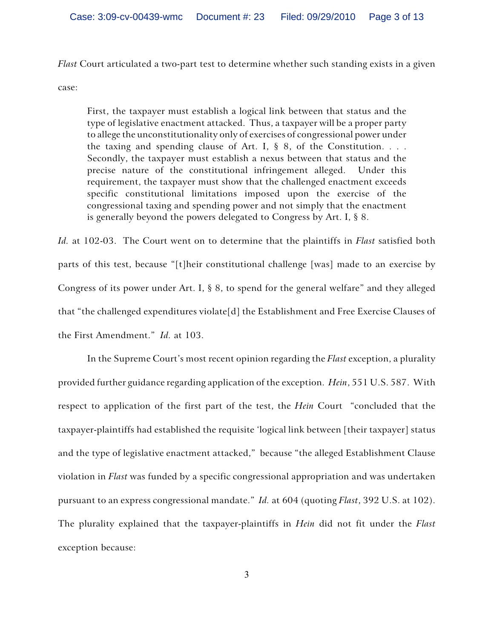*Flast* Court articulated a two-part test to determine whether such standing exists in a given

case:

First, the taxpayer must establish a logical link between that status and the type of legislative enactment attacked. Thus, a taxpayer will be a proper party to allege the unconstitutionality only of exercises of congressional power under the taxing and spending clause of Art. I,  $\S$  8, of the Constitution. . . . Secondly, the taxpayer must establish a nexus between that status and the precise nature of the constitutional infringement alleged. Under this requirement, the taxpayer must show that the challenged enactment exceeds specific constitutional limitations imposed upon the exercise of the congressional taxing and spending power and not simply that the enactment is generally beyond the powers delegated to Congress by Art. I, § 8.

*Id.* at 102-03. The Court went on to determine that the plaintiffs in *Flast* satisfied both parts of this test, because "[t]heir constitutional challenge [was] made to an exercise by Congress of its power under Art. I, § 8, to spend for the general welfare" and they alleged that "the challenged expenditures violate[d] the Establishment and Free Exercise Clauses of the First Amendment." *Id.* at 103.

In the Supreme Court's most recent opinion regarding the *Flast* exception, a plurality provided further guidance regarding application of the exception. *Hein*, 551 U.S. 587. With respect to application of the first part of the test, the *Hein* Court "concluded that the taxpayer-plaintiffs had established the requisite 'logical link between [their taxpayer] status and the type of legislative enactment attacked," because "the alleged Establishment Clause violation in *Flast* was funded by a specific congressional appropriation and was undertaken pursuant to an express congressional mandate." *Id.* at 604 (quoting *Flast*, 392 U.S. at 102). The plurality explained that the taxpayer-plaintiffs in *Hein* did not fit under the *Flast* exception because: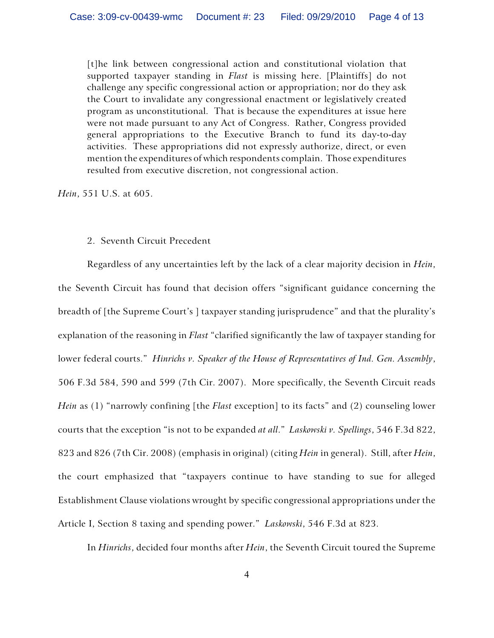[t]he link between congressional action and constitutional violation that supported taxpayer standing in *Flast* is missing here. [Plaintiffs] do not challenge any specific congressional action or appropriation; nor do they ask the Court to invalidate any congressional enactment or legislatively created program as unconstitutional. That is because the expenditures at issue here were not made pursuant to any Act of Congress. Rather, Congress provided general appropriations to the Executive Branch to fund its day-to-day activities. These appropriations did not expressly authorize, direct, or even mention the expenditures of which respondents complain. Those expenditures resulted from executive discretion, not congressional action.

*Hein*, 551 U.S. at 605.

#### 2. Seventh Circuit Precedent

Regardless of any uncertainties left by the lack of a clear majority decision in *Hein*, the Seventh Circuit has found that decision offers "significant guidance concerning the breadth of [the Supreme Court's ] taxpayer standing jurisprudence" and that the plurality's explanation of the reasoning in *Flast* "clarified significantly the law of taxpayer standing for lower federal courts." *Hinrichs v. Speaker of the House of Representatives of Ind. Gen. Assembly*, 506 F.3d 584, 590 and 599 (7th Cir. 2007). More specifically, the Seventh Circuit reads *Hein* as (1) "narrowly confining [the *Flast* exception] to its facts" and (2) counseling lower courts that the exception "is not to be expanded *at all*." *Laskowski v. Spellings*, 546 F.3d 822, 823 and 826 (7th Cir. 2008) (emphasis in original) (citing *Hein* in general). Still, after *Hein*, the court emphasized that "taxpayers continue to have standing to sue for alleged Establishment Clause violations wrought by specific congressional appropriations under the Article I, Section 8 taxing and spending power." *Laskowski*, 546 F.3d at 823.

In *Hinrichs*, decided four months after *Hein*, the Seventh Circuit toured the Supreme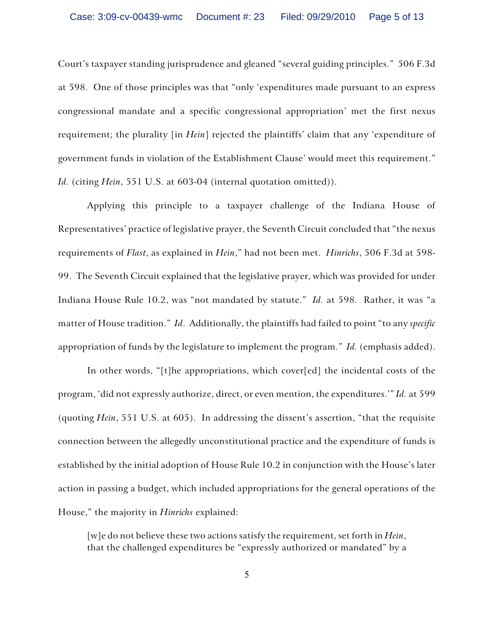Court's taxpayer standing jurisprudence and gleaned "several guiding principles." 506 F.3d at 598. One of those principles was that "only 'expenditures made pursuant to an express congressional mandate and a specific congressional appropriation' met the first nexus requirement; the plurality [in *Hein*] rejected the plaintiffs' claim that any 'expenditure of government funds in violation of the Establishment Clause' would meet this requirement." *Id.* (citing *Hein*, 551 U.S. at 603-04 (internal quotation omitted)).

Applying this principle to a taxpayer challenge of the Indiana House of Representatives' practice of legislative prayer, the Seventh Circuit concluded that "the nexus requirements of *Flast*, as explained in *Hein*," had not been met. *Hinrichs*, 506 F.3d at 598- 99. The Seventh Circuit explained that the legislative prayer, which was provided for under Indiana House Rule 10.2, was "not mandated by statute." *Id.* at 598. Rather, it was "a matter of House tradition." *Id*. Additionally, the plaintiffs had failed to point "to any *specific* appropriation of funds by the legislature to implement the program." *Id.* (emphasis added).

In other words, "[t]he appropriations, which cover[ed] the incidental costs of the program, 'did not expressly authorize, direct, or even mention, the expenditures.'" *Id.* at 599 (quoting *Hein*, 551 U.S. at 605). In addressing the dissent's assertion, "that the requisite connection between the allegedly unconstitutional practice and the expenditure of funds is established by the initial adoption of House Rule 10.2 in conjunction with the House's later action in passing a budget, which included appropriations for the general operations of the House," the majority in *Hinrichs* explained:

[w]e do not believe these two actions satisfy the requirement, set forth in *Hein*, that the challenged expenditures be "expressly authorized or mandated" by a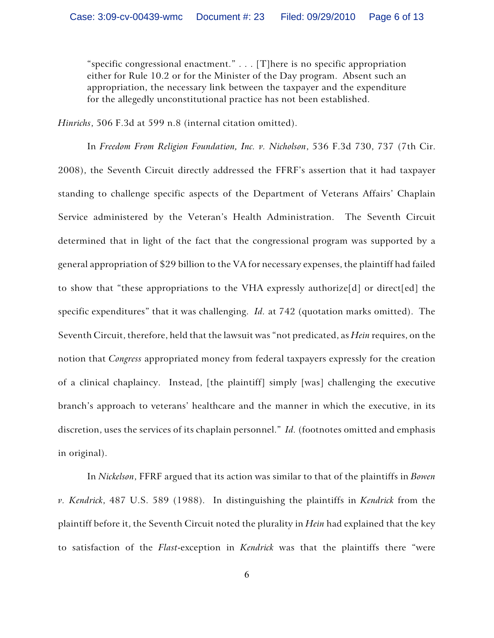"specific congressional enactment." . . . [T]here is no specific appropriation either for Rule 10.2 or for the Minister of the Day program. Absent such an appropriation, the necessary link between the taxpayer and the expenditure for the allegedly unconstitutional practice has not been established.

*Hinrichs*, 506 F.3d at 599 n.8 (internal citation omitted).

In *Freedom From Religion Foundation, Inc. v. Nicholson*, 536 F.3d 730, 737 (7th Cir. 2008), the Seventh Circuit directly addressed the FFRF's assertion that it had taxpayer standing to challenge specific aspects of the Department of Veterans Affairs' Chaplain Service administered by the Veteran's Health Administration. The Seventh Circuit determined that in light of the fact that the congressional program was supported by a general appropriation of \$29 billion to the VA for necessary expenses, the plaintiff had failed to show that "these appropriations to the VHA expressly authorize[d] or direct[ed] the specific expenditures" that it was challenging. *Id.* at 742 (quotation marks omitted). The Seventh Circuit, therefore, held that the lawsuit was "not predicated, as *Hein* requires, on the notion that *Congress* appropriated money from federal taxpayers expressly for the creation of a clinical chaplaincy. Instead, [the plaintiff] simply [was] challenging the executive branch's approach to veterans' healthcare and the manner in which the executive, in its discretion, uses the services of its chaplain personnel." *Id.* (footnotes omitted and emphasis in original).

In *Nickelson*, FFRF argued that its action was similar to that of the plaintiffs in *Bowen v. Kendrick*, 487 U.S. 589 (1988). In distinguishing the plaintiffs in *Kendrick* from the plaintiff before it, the Seventh Circuit noted the plurality in *Hein* had explained that the key to satisfaction of the *Flast*-exception in *Kendrick* was that the plaintiffs there "were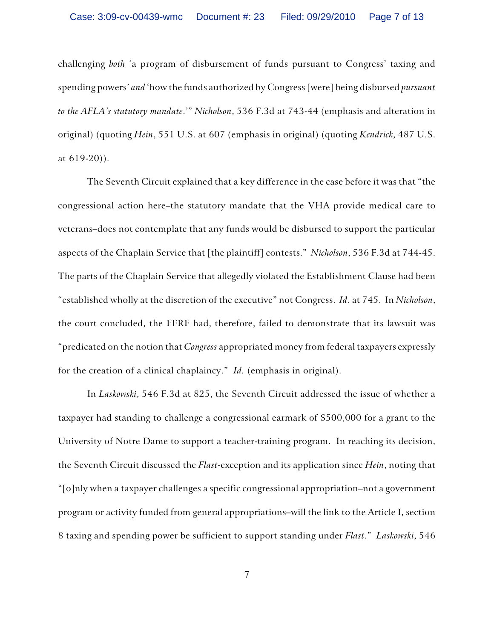challenging *both* 'a program of disbursement of funds pursuant to Congress' taxing and spending powers' *and* 'how the funds authorized by Congress [were] being disbursed *pursuant to the AFLA's statutory mandate*.'" *Nicholson*, 536 F.3d at 743-44 (emphasis and alteration in original) (quoting *Hein*, 551 U.S. at 607 (emphasis in original) (quoting *Kendrick*, 487 U.S. at 619-20)).

The Seventh Circuit explained that a key difference in the case before it was that "the congressional action here–the statutory mandate that the VHA provide medical care to veterans–does not contemplate that any funds would be disbursed to support the particular aspects of the Chaplain Service that [the plaintiff] contests." *Nicholson*, 536 F.3d at 744-45. The parts of the Chaplain Service that allegedly violated the Establishment Clause had been "established wholly at the discretion of the executive" not Congress. *Id.* at 745. In *Nicholson*, the court concluded, the FFRF had, therefore, failed to demonstrate that its lawsuit was "predicated on the notion that *Congress* appropriated money from federal taxpayers expressly for the creation of a clinical chaplaincy." *Id.* (emphasis in original).

In *Laskowski*, 546 F.3d at 825, the Seventh Circuit addressed the issue of whether a taxpayer had standing to challenge a congressional earmark of \$500,000 for a grant to the University of Notre Dame to support a teacher-training program. In reaching its decision, the Seventh Circuit discussed the *Flast*-exception and its application since *Hein*, noting that "[o]nly when a taxpayer challenges a specific congressional appropriation–not a government program or activity funded from general appropriations–will the link to the Article I, section 8 taxing and spending power be sufficient to support standing under *Flast*." *Laskowski*, 546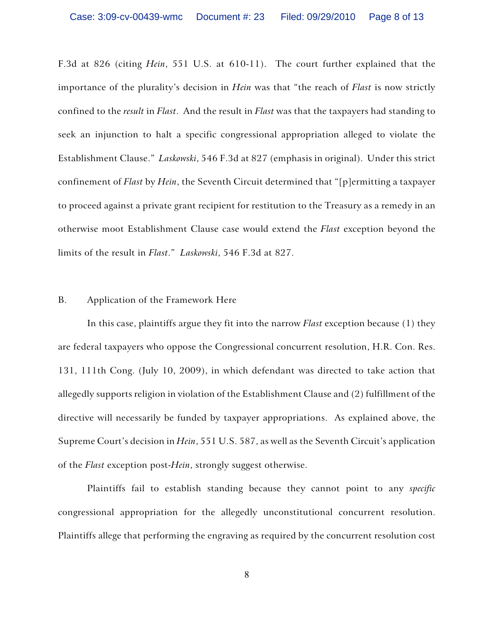F.3d at 826 (citing *Hein*, 551 U.S. at 610-11). The court further explained that the importance of the plurality's decision in *Hein* was that "the reach of *Flast* is now strictly confined to the *result* in *Flast*. And the result in *Flast* was that the taxpayers had standing to seek an injunction to halt a specific congressional appropriation alleged to violate the Establishment Clause." *Laskowski*, 546 F.3d at 827 (emphasis in original). Under this strict confinement of *Flast* by *Hein*, the Seventh Circuit determined that "[p]ermitting a taxpayer to proceed against a private grant recipient for restitution to the Treasury as a remedy in an otherwise moot Establishment Clause case would extend the *Flast* exception beyond the limits of the result in *Flast*." *Laskowski*, 546 F.3d at 827.

#### B. Application of the Framework Here

In this case, plaintiffs argue they fit into the narrow *Flast* exception because (1) they are federal taxpayers who oppose the Congressional concurrent resolution, H.R. Con. Res. 131, 111th Cong. (July 10, 2009), in which defendant was directed to take action that allegedly supports religion in violation of the Establishment Clause and (2) fulfillment of the directive will necessarily be funded by taxpayer appropriations. As explained above, the Supreme Court's decision in *Hein*, 551 U.S. 587, as well as the Seventh Circuit's application of the *Flast* exception post-*Hein*, strongly suggest otherwise.

Plaintiffs fail to establish standing because they cannot point to any *specific* congressional appropriation for the allegedly unconstitutional concurrent resolution. Plaintiffs allege that performing the engraving as required by the concurrent resolution cost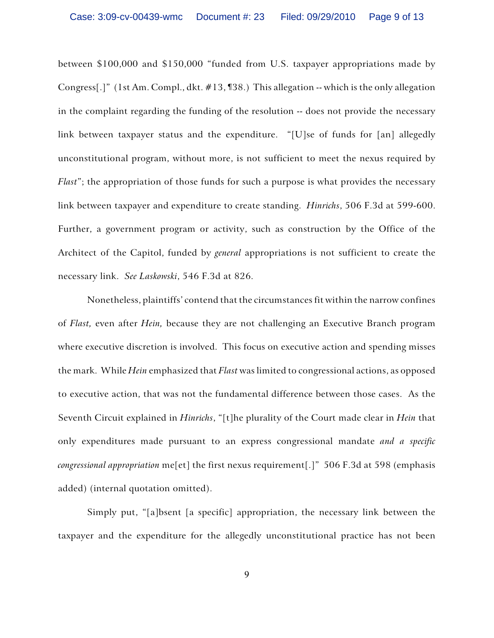between \$100,000 and \$150,000 "funded from U.S. taxpayer appropriations made by Congress[.]" (1st Am. Compl., dkt. #13, ¶38.) This allegation -- which is the only allegation in the complaint regarding the funding of the resolution -- does not provide the necessary link between taxpayer status and the expenditure. "[U]se of funds for [an] allegedly unconstitutional program, without more, is not sufficient to meet the nexus required by *Flast*"; the appropriation of those funds for such a purpose is what provides the necessary link between taxpayer and expenditure to create standing. *Hinrichs*, 506 F.3d at 599-600. Further, a government program or activity, such as construction by the Office of the Architect of the Capitol, funded by *general* appropriations is not sufficient to create the necessary link. *See Laskowski*, 546 F.3d at 826.

Nonetheless, plaintiffs' contend that the circumstances fit within the narrow confines of *Flast,* even after *Hein,* because they are not challenging an Executive Branch program where executive discretion is involved. This focus on executive action and spending misses the mark. While *Hein* emphasized that *Flast* was limited to congressional actions, as opposed to executive action, that was not the fundamental difference between those cases. As the Seventh Circuit explained in *Hinrichs*, "[t]he plurality of the Court made clear in *Hein* that only expenditures made pursuant to an express congressional mandate *and a specific congressional appropriation* me[et] the first nexus requirement[.]" 506 F.3d at 598 (emphasis added) (internal quotation omitted).

Simply put, "[a]bsent [a specific] appropriation, the necessary link between the taxpayer and the expenditure for the allegedly unconstitutional practice has not been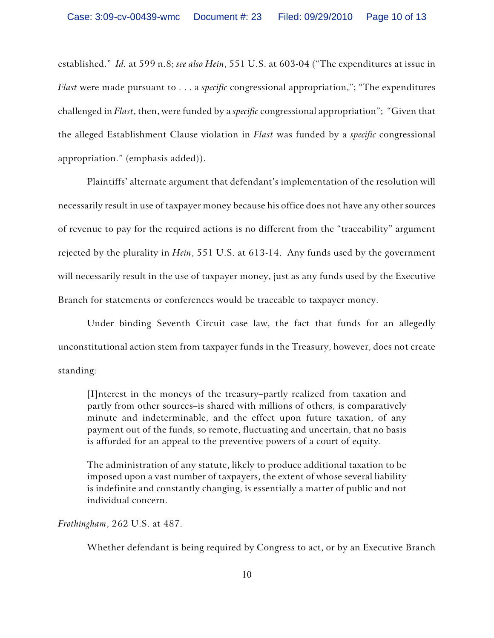established." *Id.* at 599 n.8; *see also Hein*, 551 U.S. at 603-04 ("The expenditures at issue in *Flast* were made pursuant to . . . a *specific* congressional appropriation,"; "The expenditures challenged in *Flast*, then, were funded by a *specific* congressional appropriation"; "Given that the alleged Establishment Clause violation in *Flast* was funded by a *specific* congressional appropriation." (emphasis added)).

Plaintiffs' alternate argument that defendant's implementation of the resolution will necessarily result in use of taxpayer money because his office does not have any other sources of revenue to pay for the required actions is no different from the "traceability" argument rejected by the plurality in *Hein*, 551 U.S. at 613-14. Any funds used by the government will necessarily result in the use of taxpayer money, just as any funds used by the Executive Branch for statements or conferences would be traceable to taxpayer money.

Under binding Seventh Circuit case law, the fact that funds for an allegedly unconstitutional action stem from taxpayer funds in the Treasury, however, does not create standing:

[I]nterest in the moneys of the treasury–partly realized from taxation and partly from other sources–is shared with millions of others, is comparatively minute and indeterminable, and the effect upon future taxation, of any payment out of the funds, so remote, fluctuating and uncertain, that no basis is afforded for an appeal to the preventive powers of a court of equity.

The administration of any statute, likely to produce additional taxation to be imposed upon a vast number of taxpayers, the extent of whose several liability is indefinite and constantly changing, is essentially a matter of public and not individual concern.

#### *Frothingham*, 262 U.S. at 487.

Whether defendant is being required by Congress to act, or by an Executive Branch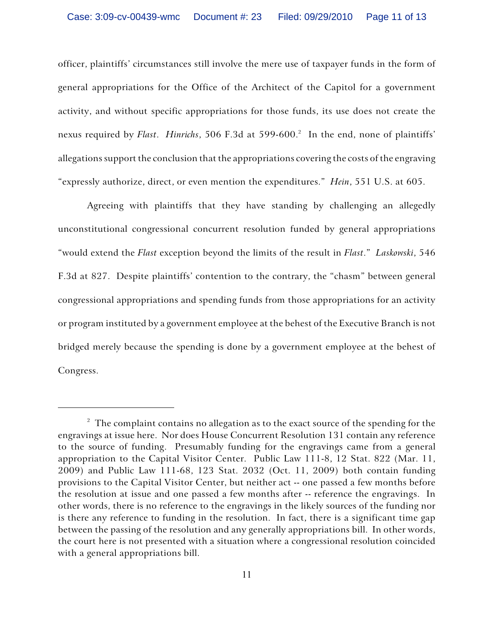officer, plaintiffs' circumstances still involve the mere use of taxpayer funds in the form of general appropriations for the Office of the Architect of the Capitol for a government activity, and without specific appropriations for those funds, its use does not create the nexus required by *Flast*. *Hinrichs*, 506 F.3d at 599-600. In the end, none of plaintiffs' <sup>2</sup> allegations support the conclusion that the appropriations covering the costs of the engraving "expressly authorize, direct, or even mention the expenditures." *Hein*, 551 U.S. at 605.

Agreeing with plaintiffs that they have standing by challenging an allegedly unconstitutional congressional concurrent resolution funded by general appropriations "would extend the *Flast* exception beyond the limits of the result in *Flast*." *Laskowski*, 546 F.3d at 827. Despite plaintiffs' contention to the contrary, the "chasm" between general congressional appropriations and spending funds from those appropriations for an activity or program instituted by a government employee at the behest of the Executive Branch is not bridged merely because the spending is done by a government employee at the behest of Congress.

 $2^2$  The complaint contains no allegation as to the exact source of the spending for the engravings at issue here. Nor does House Concurrent Resolution 131 contain any reference to the source of funding. Presumably funding for the engravings came from a general appropriation to the Capital Visitor Center. Public Law 111-8, 12 Stat. 822 (Mar. 11, 2009) and Public Law 111-68, 123 Stat. 2032 (Oct. 11, 2009) both contain funding provisions to the Capital Visitor Center, but neither act -- one passed a few months before the resolution at issue and one passed a few months after -- reference the engravings. In other words, there is no reference to the engravings in the likely sources of the funding nor is there any reference to funding in the resolution. In fact, there is a significant time gap between the passing of the resolution and any generally appropriations bill. In other words, the court here is not presented with a situation where a congressional resolution coincided with a general appropriations bill.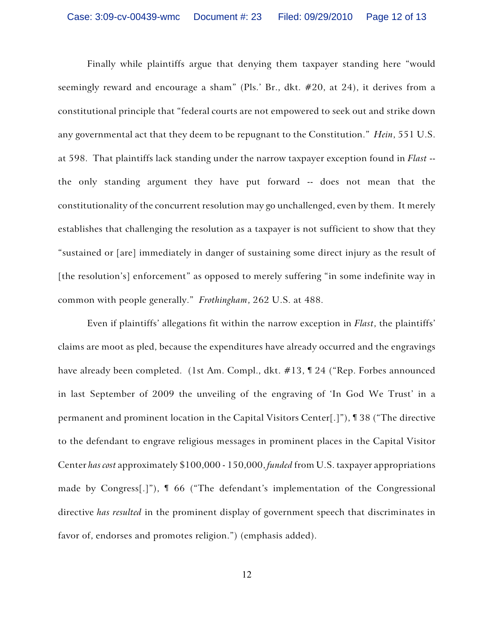Finally while plaintiffs argue that denying them taxpayer standing here "would seemingly reward and encourage a sham" (Pls.' Br., dkt. #20, at 24), it derives from a constitutional principle that "federal courts are not empowered to seek out and strike down any governmental act that they deem to be repugnant to the Constitution." *Hein*, 551 U.S. at 598. That plaintiffs lack standing under the narrow taxpayer exception found in *Flast* - the only standing argument they have put forward -- does not mean that the constitutionality of the concurrent resolution may go unchallenged, even by them. It merely establishes that challenging the resolution as a taxpayer is not sufficient to show that they "sustained or [are] immediately in danger of sustaining some direct injury as the result of [the resolution's] enforcement" as opposed to merely suffering "in some indefinite way in common with people generally." *Frothingham*, 262 U.S. at 488.

Even if plaintiffs' allegations fit within the narrow exception in *Flast*, the plaintiffs' claims are moot as pled, because the expenditures have already occurred and the engravings have already been completed. (1st Am. Compl., dkt. #13, ¶ 24 ("Rep. Forbes announced in last September of 2009 the unveiling of the engraving of 'In God We Trust' in a permanent and prominent location in the Capital Visitors Center[.]"), ¶ 38 ("The directive to the defendant to engrave religious messages in prominent places in the Capital Visitor Center *has cost* approximately \$100,000 - 150,000, *funded* from U.S. taxpayer appropriations made by Congress[.]"), ¶ 66 ("The defendant's implementation of the Congressional directive *has resulted* in the prominent display of government speech that discriminates in favor of, endorses and promotes religion.") (emphasis added).